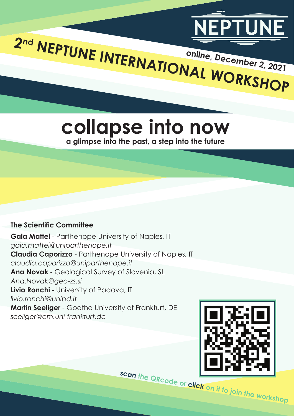

**online, December 2, 2021**

**collapse into now a glimpse into the past, a step into the future**

# **The Scientific Committee**

**Gaia Mattei** - Parthenope University of Naples, IT *gaia.mattei@uniparthenope.it* **Claudia Caporizzo** - Parthenope University of Naples, IT *claudia.caporizzo@uniparthenope.it* **Ana Novak** - Geological Survey of Slovenia, SL *Ana.Novak@geo-zs.si* **Livio Ronchi** - University of Padova, IT *livio.ronchi@unipd.it* **Martin Seeliger** - Goethe University of Frankfurt, DE *seeliger@em.uni-frankfurt.de*

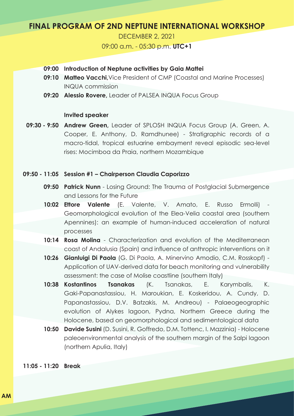# **FINAL PROGRAM OF 2ND NEPTUNE INTERNATIONAL WORKSHOP**

DECEMBER 2, 2021

09:00 a.m. - 05:30 p.m. **UTC+1**

- **09:00 Introduction of Neptune activities by Gaia Mattei**
- **09:10 Matteo Vacchi,** Vice President of CMP (Coastal and Marine Processes) INQUA commission
- **09:20 Alessio Rovere,** Leader of PALSEA INQUA Focus Group

# **Invited speaker**

**09:30 - 9:50 Andrew Green,** Leader of SPLOSH INQUA Focus Group (A. Green, A. Cooper, E. Anthony, D. Ramdhunee) - Stratigraphic records of a macro-tidal, tropical estuarine embayment reveal episodic sea-level rises: Mocimboa da Praia, northern Mozambique

# **09:50 - 11:05 Session #1 – Chairperson Claudia Caporizzo**

- **09:50 Patrick Nunn** Losing Ground: The Trauma of Postglacial Submergence and Lessons for the Future
- **10:02 Ettore Valente** (E. Valente, V. Amato, E. Russo Ermolli) Geomorphological evolution of the Elea-Velia coastal area (southern Apennines): an example of human-induced acceleration of natural processes
- **10:14 Rosa Molina** Characterization and evolution of the Mediterranean coast of Andalusia (Spain) and influence of anthropic interventions on it
- **10:26 Gianluigi Di Paola** (G. Di Paola, A. Minervino Amodio, C.M. Rosskopf) Application of UAV-derived data for beach monitoring and vulnerability assessment: the case of Molise coastline (southern Italy)
- **10:38 Tsanakas** *(K. Tsanakas, E. Karymbalis, K.* Gaki-Papanastassiou, H. Maroukian, E. Koskeridou, A. Cundy, D. Papanastassiou, D.V. Batzakis, M. Andreou) - Palaeogeographic evolution of Alykes lagoon, Pydna, Northern Greece during the Holocene, based on geomorphological and sedimentological data
- **10:50 Davide Susini** (D. Susini, R. Goffredo, D.M. Tottenc, I. Mazzinia) Holocene paleoenvironmental analysis of the southern margin of the Salpi lagoon (northern Apulia, Italy)

**11:05 - 11:20 Break**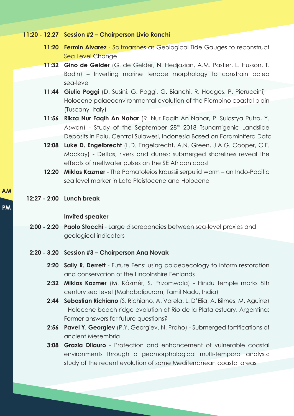- **11:20 12.27 Session #2 Chairperson Livio Ronchi**
	- **11:20 Fermin Alvarez** Saltmarshes as Geological Tide Gauges to reconstruct Sea Level Change
	- **11:32 Gino de Gelder** (G. de Gelder, N. Hedjazian, A.M. Pastier, L. Husson, T. Bodin) – Inverting marine terrace morphology to constrain paleo sea-level
	- **11:44 Giulio Poggi** (D. Susini, G. Poggi, G. Bianchi, R. Hodges, P. Pieruccini) Holocene palaeoenvironmental evolution of the Piombino coastal plain (Tuscany, Italy)
	- **11:56 Rikza Nur Faqih An Nahar** (R. Nur Faqih An Nahar, P. Sulastya Putra, Y. Aswan) - Study of the September 28<sup>th</sup> 2018 Tsunamigenic Landslide Deposits in Palu, Central Sulawesi, Indonesia Based on Foraminifera Data
	- **12:08 Luke D. Engelbrecht** (L.D. Engelbrecht, A.N. Green, J.A.G. Cooper, C.F. Mackay) - Deltas, rivers and dunes: submerged shorelines reveal the effects of meltwater pulses on the SE African coast
	- **12:20 Miklos Kazmer**  The Pomatoleios kraussii serpulid worm an Indo-Pacific sea level marker in Late Pleistocene and Holocene

# **12:27 - 2:00 Lunch break**

#### **Invited speaker**

- **2:00 2:20 Paolo Stocchi** Large discrepancies between sea-level proxies and geological indicators
- **2:20 3.20 Session #3 Chairperson Ana Novak**
	- **2:20 Sally R. Derrett** Future Fens: using palaeoecology to inform restoration and conservation of the Lincolnshire Fenlands
	- **2:32 Miklos Kazmer** (M. Kázmér, S. Prizomwala) Hindu temple marks 8th century sea level (Mahabalipuram, Tamil Nadu, India)
	- **2:44 Sebastian Richiano** (S. Richiano, A. Varela, L. D'Elia, A. Bilmes, M. Aguirre) - Holocene beach ridge evolution at Río de la Plata estuary, Argentina: Former answers for future questions?
	- **2:56 Pavel Y. Georgiev** (P.Y. Georgiev, N. Praho) Submerged fortifications of ancient Mesembria
	- **3:08 Grazia Dilauro**  Protection and enhancement of vulnerable coastal environments through a geomorphological multi-temporal analysis: study of the recent evolution of some Mediterranean coastal areas